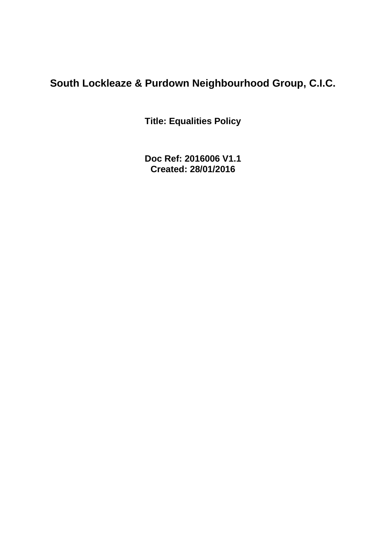# **South Lockleaze & Purdown Neighbourhood Group, C.I.C.**

**Title: Equalities Policy**

**Doc Ref: 2016006 V1.1 Created: 28/01/2016**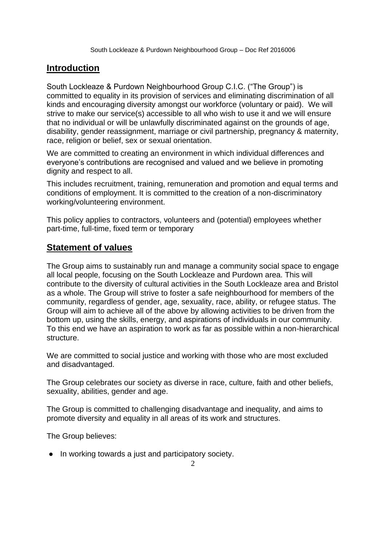### **Introduction**

South Lockleaze & Purdown Neighbourhood Group C.I.C. ("The Group") is committed to equality in its provision of services and eliminating discrimination of all kinds and encouraging diversity amongst our workforce (voluntary or paid). We will strive to make our service(s) accessible to all who wish to use it and we will ensure that no individual or will be unlawfully discriminated against on the grounds of age, disability, gender reassignment, marriage or civil partnership, pregnancy & maternity, race, religion or belief, sex or sexual orientation.

We are committed to creating an environment in which individual differences and everyone's contributions are recognised and valued and we believe in promoting dignity and respect to all.

This includes recruitment, training, remuneration and promotion and equal terms and conditions of employment. It is committed to the creation of a non-discriminatory working/volunteering environment.

This policy applies to contractors, volunteers and (potential) employees whether part-time, full-time, fixed term or temporary

#### **Statement of values**

The Group aims to sustainably run and manage a community social space to engage all local people, focusing on the South Lockleaze and Purdown area. This will contribute to the diversity of cultural activities in the South Lockleaze area and Bristol as a whole. The Group will strive to foster a safe neighbourhood for members of the community, regardless of gender, age, sexuality, race, ability, or refugee status. The Group will aim to achieve all of the above by allowing activities to be driven from the bottom up, using the skills, energy, and aspirations of individuals in our community. To this end we have an aspiration to work as far as possible within a non-hierarchical structure.

We are committed to social justice and working with those who are most excluded and disadvantaged.

The Group celebrates our society as diverse in race, culture, faith and other beliefs, sexuality, abilities, gender and age.

The Group is committed to challenging disadvantage and inequality, and aims to promote diversity and equality in all areas of its work and structures.

The Group believes:

● In working towards a just and participatory society.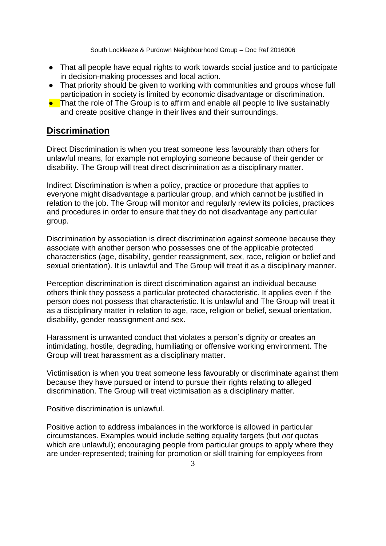- That all people have equal rights to work towards social justice and to participate in decision-making processes and local action.
- That priority should be given to working with communities and groups whose full participation in society is limited by economic disadvantage or discrimination.
- That the role of The Group is to affirm and enable all people to live sustainably and create positive change in their lives and their surroundings.

#### **Discrimination**

Direct Discrimination is when you treat someone less favourably than others for unlawful means, for example not employing someone because of their gender or disability. The Group will treat direct discrimination as a disciplinary matter.

Indirect Discrimination is when a policy, practice or procedure that applies to everyone might disadvantage a particular group, and which cannot be justified in relation to the job. The Group will monitor and regularly review its policies, practices and procedures in order to ensure that they do not disadvantage any particular group.

Discrimination by association is direct discrimination against someone because they associate with another person who possesses one of the applicable protected characteristics (age, disability, gender reassignment, sex, race, religion or belief and sexual orientation). It is unlawful and The Group will treat it as a disciplinary manner.

Perception discrimination is direct discrimination against an individual because others think they possess a particular protected characteristic. It applies even if the person does not possess that characteristic. It is unlawful and The Group will treat it as a disciplinary matter in relation to age, race, religion or belief, sexual orientation, disability, gender reassignment and sex.

Harassment is unwanted conduct that violates a person's dignity or creates an intimidating, hostile, degrading, humiliating or offensive working environment. The Group will treat harassment as a disciplinary matter.

Victimisation is when you treat someone less favourably or discriminate against them because they have pursued or intend to pursue their rights relating to alleged discrimination. The Group will treat victimisation as a disciplinary matter.

Positive discrimination is unlawful.

Positive action to address imbalances in the workforce is allowed in particular circumstances. Examples would include setting equality targets (but *not* quotas which are unlawful); encouraging people from particular groups to apply where they are under-represented; training for promotion or skill training for employees from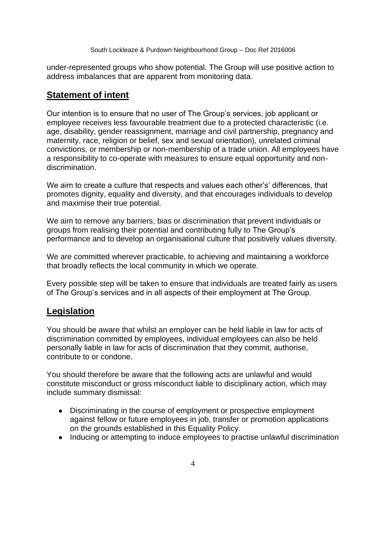under-represented groups who show potential. The Group will use positive action to address imbalances that are apparent from monitoring data.

#### **Statement of intent**

Our intention is to ensure that no user of The Group's services, job applicant or employee receives less favourable treatment due to a protected characteristic (i.e. age, disability, gender reassignment, marriage and civil partnership, pregnancy and maternity, race, religion or belief, sex and sexual orientation), unrelated criminal convictions, or membership or non-membership of a trade union. All employees have a responsibility to co-operate with measures to ensure equal opportunity and nondiscrimination.

We aim to create a culture that respects and values each other's' differences, that promotes dignity, equality and diversity, and that encourages individuals to develop and maximise their true potential.

We aim to remove any barriers, bias or discrimination that prevent individuals or groups from realising their potential and contributing fully to The Group's performance and to develop an organisational culture that positively values diversity.

We are committed wherever practicable, to achieving and maintaining a workforce that broadly reflects the local community in which we operate.

Every possible step will be taken to ensure that individuals are treated fairly as users of The Group's services and in all aspects of their employment at The Group.

### **Legislation**

You should be aware that whilst an employer can be held liable in law for acts of discrimination committed by employees, individual employees can also be held personally liable in law for acts of discrimination that they commit, authorise, contribute to or condone.

You should therefore be aware that the following acts are unlawful and would constitute misconduct or gross misconduct liable to disciplinary action, which may include summary dismissal:

- Discriminating in the course of employment or prospective employment against fellow or future employees in job, transfer or promotion applications on the grounds established in this Equality Policy.
- Inducing or attempting to induce employees to practise unlawful discrimination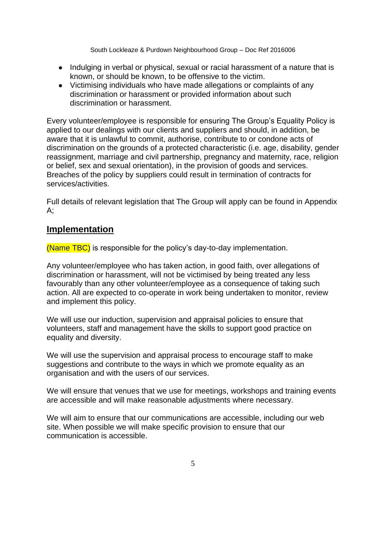- Indulging in verbal or physical, sexual or racial harassment of a nature that is known, or should be known, to be offensive to the victim.
- Victimising individuals who have made allegations or complaints of any discrimination or harassment or provided information about such discrimination or harassment.

Every volunteer/employee is responsible for ensuring The Group's Equality Policy is applied to our dealings with our clients and suppliers and should, in addition, be aware that it is unlawful to commit, authorise, contribute to or condone acts of discrimination on the grounds of a protected characteristic (i.e. age, disability, gender reassignment, marriage and civil partnership, pregnancy and maternity, race, religion or belief, sex and sexual orientation), in the provision of goods and services. Breaches of the policy by suppliers could result in termination of contracts for services/activities.

Full details of relevant legislation that The Group will apply can be found in Appendix  $A$ :

#### **Implementation**

(Name TBC) is responsible for the policy's day-to-day implementation.

Any volunteer/employee who has taken action, in good faith, over allegations of discrimination or harassment, will not be victimised by being treated any less favourably than any other volunteer/employee as a consequence of taking such action. All are expected to co-operate in work being undertaken to monitor, review and implement this policy.

We will use our induction, supervision and appraisal policies to ensure that volunteers, staff and management have the skills to support good practice on equality and diversity.

We will use the supervision and appraisal process to encourage staff to make suggestions and contribute to the ways in which we promote equality as an organisation and with the users of our services.

We will ensure that venues that we use for meetings, workshops and training events are accessible and will make reasonable adjustments where necessary.

We will aim to ensure that our communications are accessible, including our web site. When possible we will make specific provision to ensure that our communication is accessible.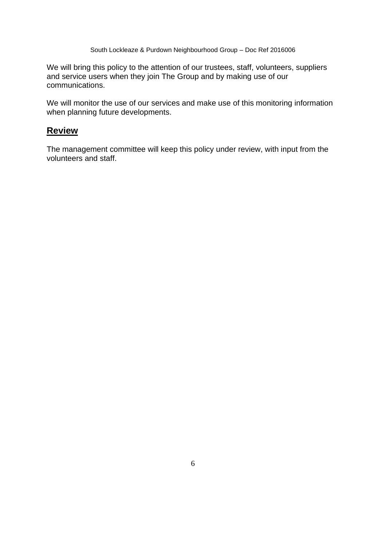We will bring this policy to the attention of our trustees, staff, volunteers, suppliers and service users when they join The Group and by making use of our communications.

We will monitor the use of our services and make use of this monitoring information when planning future developments.

#### **Review**

The management committee will keep this policy under review, with input from the volunteers and staff.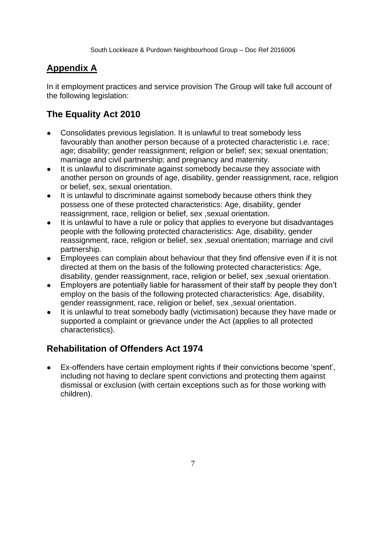## **Appendix A**

In it employment practices and service provision The Group will take full account of the following legislation:

## **The Equality Act 2010**

- Consolidates previous legislation. It is unlawful to treat somebody less favourably than another person because of a protected characteristic i.e. race; age; disability; gender reassignment; religion or belief; sex; sexual orientation; marriage and civil partnership; and pregnancy and maternity.
- It is unlawful to discriminate against somebody because they associate with another person on grounds of age, disability, gender reassignment, race, religion or belief, sex, sexual orientation.
- It is unlawful to discriminate against somebody because others think they possess one of these protected characteristics: Age, disability, gender reassignment, race, religion or belief, sex ,sexual orientation.
- It is unlawful to have a rule or policy that applies to everyone but disadvantages people with the following protected characteristics: Age, disability, gender reassignment, race, religion or belief, sex ,sexual orientation; marriage and civil partnership.
- Employees can complain about behaviour that they find offensive even if it is not directed at them on the basis of the following protected characteristics: Age, disability, gender reassignment, race, religion or belief, sex ,sexual orientation.
- Employers are potentially liable for harassment of their staff by people they don't employ on the basis of the following protected characteristics: Age, disability, gender reassignment, race, religion or belief, sex ,sexual orientation.
- It is unlawful to treat somebody badly (victimisation) because they have made or supported a complaint or grievance under the Act (applies to all protected characteristics).

## **Rehabilitation of Offenders Act 1974**

● Ex-offenders have certain employment rights if their convictions become 'spent', including not having to declare spent convictions and protecting them against dismissal or exclusion (with certain exceptions such as for those working with children).